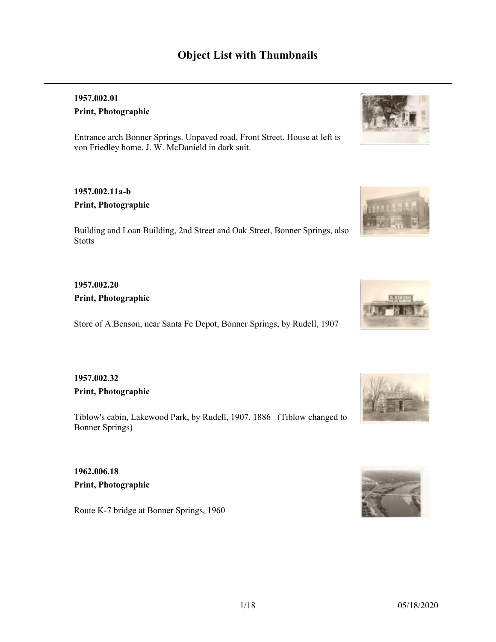# **Object List with Thumbnails**

### **1957.002.01 Print, Photographic**

Entrance arch Bonner Springs. Unpaved road, Front Street. House at left is von Friedley home. J. W. McDanield in dark suit.

### **1957.002.11a-b Print, Photographic**

Building and Loan Building, 2nd Street and Oak Street, Bonner Springs, also Stotts

## **1957.002.20 Print, Photographic**

Store of A.Benson, near Santa Fe Depot, Bonner Springs, by Rudell, 1907

### **1957.002.32 Print, Photographic**

Tiblow's cabin, Lakewood Park, by Rudell, 1907. 1886 (Tiblow changed to Bonner Springs)

**1962.006.18 Print, Photographic**

Route K-7 bridge at Bonner Springs, 1960









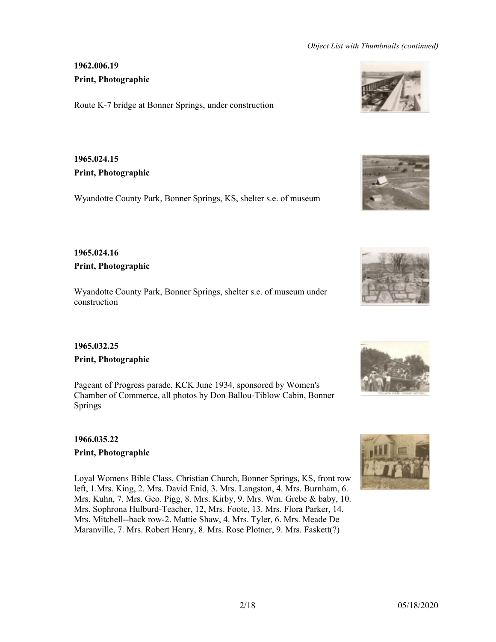## **1962.006.19 Print, Photographic**

Route K-7 bridge at Bonner Springs, under construction

# **1965.024.15 Print, Photographic**

Wyandotte County Park, Bonner Springs, KS, shelter s.e. of museum

### **1965.024.16 Print, Photographic**

Wyandotte County Park, Bonner Springs, shelter s.e. of museum under construction

# **1965.032.25**

### **Print, Photographic**

Pageant of Progress parade, KCK June 1934, sponsored by Women's Chamber of Commerce, all photos by Don Ballou-Tiblow Cabin, Bonner Springs

### **1966.035.22 Print, Photographic**

Loyal Womens Bible Class, Christian Church, Bonner Springs, KS, front row left, 1.Mrs. King, 2. Mrs. David Enid, 3. Mrs. Langston, 4. Mrs. Burnham, 6. Mrs. Kuhn, 7. Mrs. Geo. Pigg, 8. Mrs. Kirby, 9. Mrs. Wm. Grebe & baby, 10. Mrs. Sophrona Hulburd-Teacher, 12, Mrs. Foote, 13. Mrs. Flora Parker, 14. Mrs. Mitchell--back row-2. Mattie Shaw, 4. Mrs. Tyler, 6. Mrs. Meade De Maranville, 7. Mrs. Robert Henry, 8. Mrs. Rose Plotner, 9. Mrs. Faskett(?)









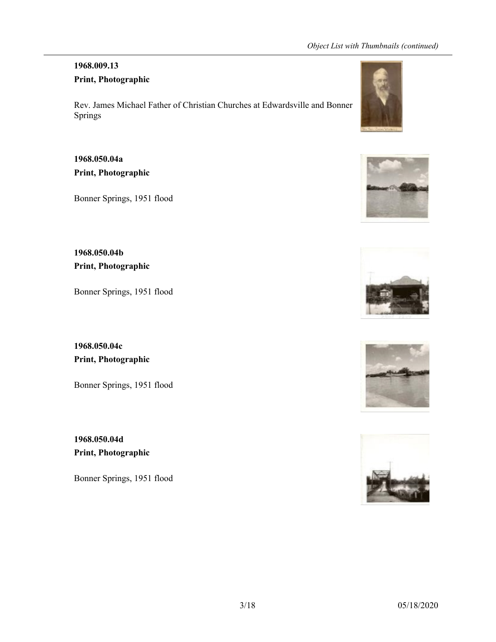# **1968.009.13**

# **Print, Photographic**

Rev. James Michael Father of Christian Churches at Edwardsville and Bonner Springs

# **1968.050.04a Print, Photographic**

Bonner Springs, 1951 flood

**1968.050.04b Print, Photographic**

Bonner Springs, 1951 flood

**1968.050.04c Print, Photographic**

Bonner Springs, 1951 flood

**1968.050.04d Print, Photographic**

Bonner Springs, 1951 flood









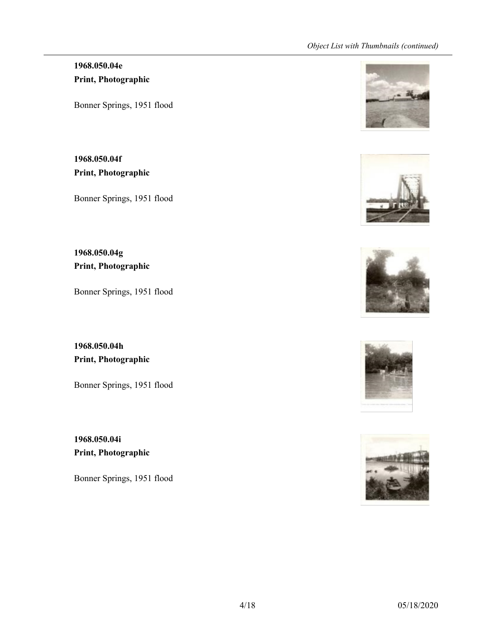# **1968.050.04e Print, Photographic**

Bonner Springs, 1951 flood

**1968.050.04f Print, Photographic**

Bonner Springs, 1951 flood

**1968.050.04g Print, Photographic**

Bonner Springs, 1951 flood

**1968.050.04h Print, Photographic**

Bonner Springs, 1951 flood

**1968.050.04i Print, Photographic**

Bonner Springs, 1951 flood









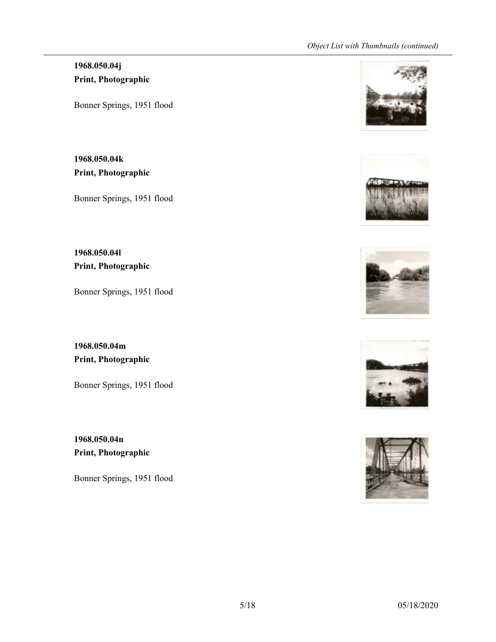# **1968.050.04j Print, Photographic**

Bonner Springs, 1951 flood

**1968.050.04k Print, Photographic**

Bonner Springs, 1951 flood

**1968.050.04l Print, Photographic**

Bonner Springs, 1951 flood

**1968.050.04m Print, Photographic**

Bonner Springs, 1951 flood

**1968.050.04n Print, Photographic**

Bonner Springs, 1951 flood









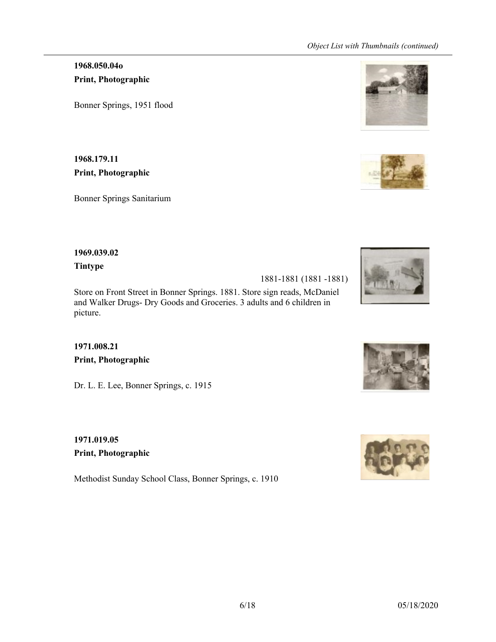**1968.050.04o Print, Photographic**

Bonner Springs, 1951 flood

**1968.179.11 Print, Photographic**

Bonner Springs Sanitarium

#### **1969.039.02**

**Tintype**

1881-1881 (1881 -1881)

Store on Front Street in Bonner Springs. 1881. Store sign reads, McDaniel and Walker Drugs- Dry Goods and Groceries. 3 adults and 6 children in picture.

**1971.008.21 Print, Photographic**

Dr. L. E. Lee, Bonner Springs, c. 1915

**1971.019.05 Print, Photographic**

Methodist Sunday School Class, Bonner Springs, c. 1910









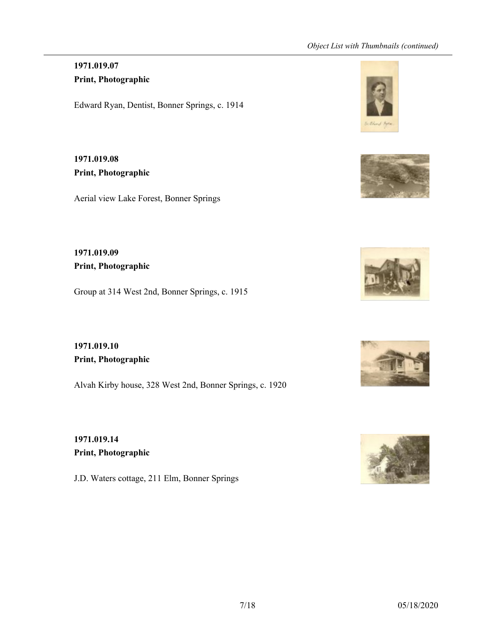## **1971.019.07 Print, Photographic**

Edward Ryan, Dentist, Bonner Springs, c. 1914

**1971.019.08 Print, Photographic**

Aerial view Lake Forest, Bonner Springs

**1971.019.09 Print, Photographic**

Group at 314 West 2nd, Bonner Springs, c. 1915

**1971.019.10 Print, Photographic**

Alvah Kirby house, 328 West 2nd, Bonner Springs, c. 1920

**1971.019.14 Print, Photographic**

J.D. Waters cottage, 211 Elm, Bonner Springs









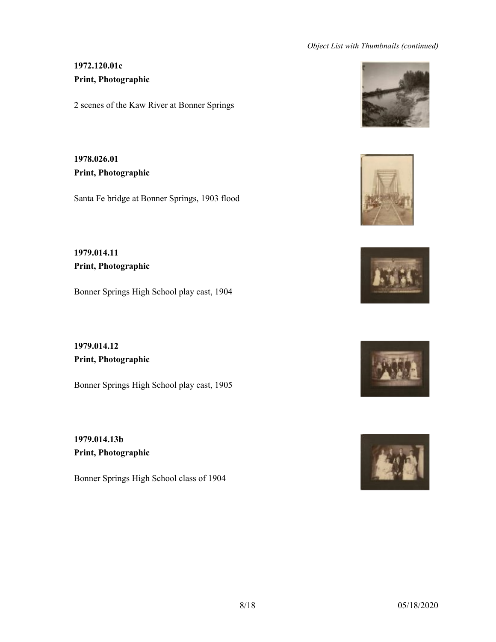## **1972.120.01c Print, Photographic**

2 scenes of the Kaw River at Bonner Springs

**1978.026.01 Print, Photographic**

Santa Fe bridge at Bonner Springs, 1903 flood

**1979.014.11 Print, Photographic**

Bonner Springs High School play cast, 1904

**1979.014.12 Print, Photographic**

Bonner Springs High School play cast, 1905

**1979.014.13b Print, Photographic**

Bonner Springs High School class of 1904









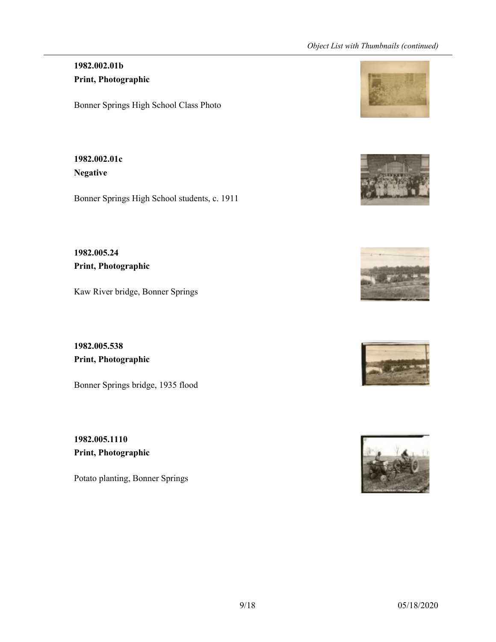### **1982.002.01b Print, Photographic**

Bonner Springs High School Class Photo

**1982.002.01c Negative**

Bonner Springs High School students, c. 1911

**1982.005.24 Print, Photographic**

Kaw River bridge, Bonner Springs

**1982.005.538 Print, Photographic**

Bonner Springs bridge, 1935 flood

**1982.005.1110 Print, Photographic**

Potato planting, Bonner Springs









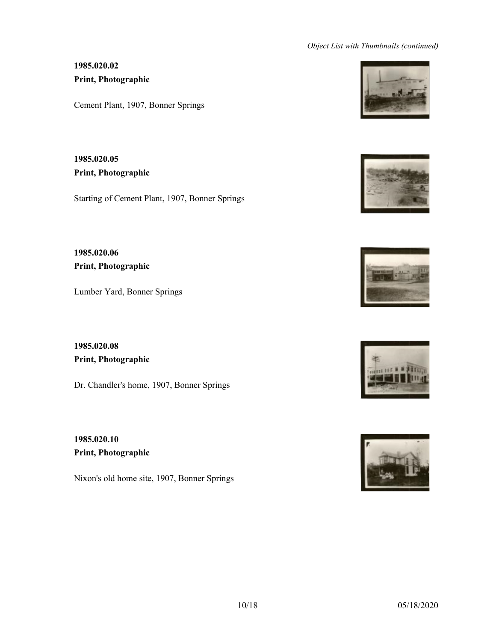## **1985.020.02 Print, Photographic**

Cement Plant, 1907, Bonner Springs

**1985.020.05 Print, Photographic**

Starting of Cement Plant, 1907, Bonner Springs

**1985.020.06 Print, Photographic**

Lumber Yard, Bonner Springs

**1985.020.08 Print, Photographic**

Dr. Chandler's home, 1907, Bonner Springs

**1985.020.10 Print, Photographic**

Nixon's old home site, 1907, Bonner Springs









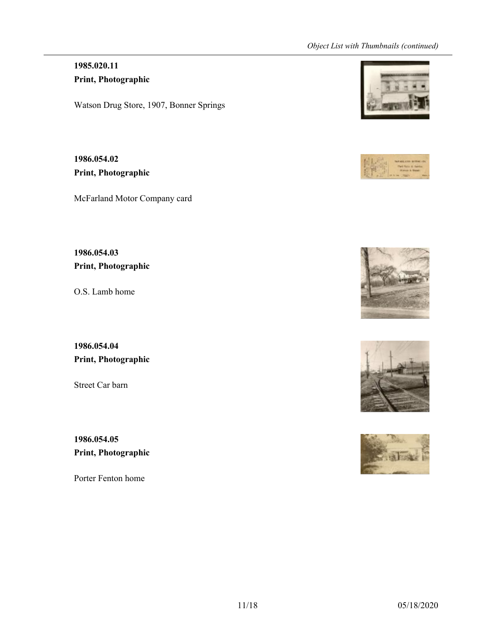# **1985.020.11 Print, Photographic**

Watson Drug Store, 1907, Bonner Springs

**1986.054.02 Print, Photographic**

McFarland Motor Company card

**1986.054.03 Print, Photographic**

O.S. Lamb home

**1986.054.04 Print, Photographic**

Street Car barn

**1986.054.05 Print, Photographic**

Porter Fenton home









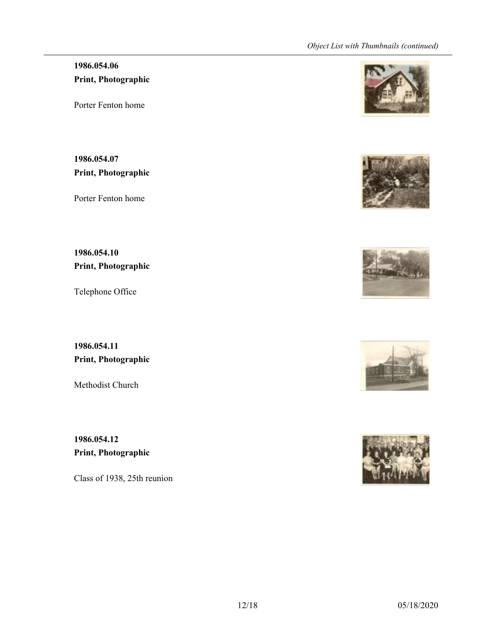# **1986.054.06 Print, Photographic**

Porter Fenton home

**1986.054.07 Print, Photographic**

Porter Fenton home

**1986.054.10 Print, Photographic**

Telephone Office

**1986.054.11 Print, Photographic**

Methodist Church

**1986.054.12 Print, Photographic**

Class of 1938, 25th reunion









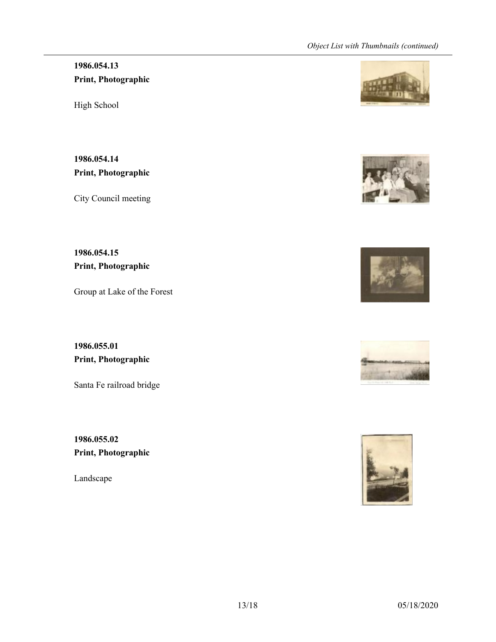# **1986.054.13 Print, Photographic**

High School

**1986.054.14 Print, Photographic**

City Council meeting

**1986.054.15 Print, Photographic**

Group at Lake of the Forest

**1986.055.01 Print, Photographic**

Santa Fe railroad bridge

**1986.055.02 Print, Photographic**

Landscape









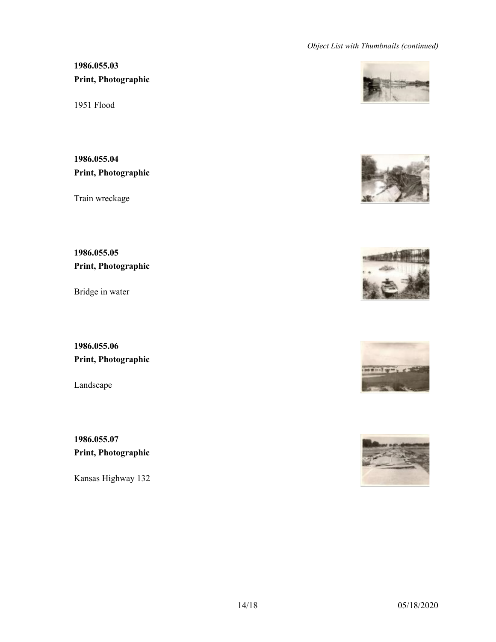# **1986.055.03 Print, Photographic**

1951 Flood

**1986.055.04 Print, Photographic**

Train wreckage

**1986.055.05 Print, Photographic**

Bridge in water

**1986.055.06 Print, Photographic**

Landscape

**1986.055.07 Print, Photographic**

Kansas Highway 132









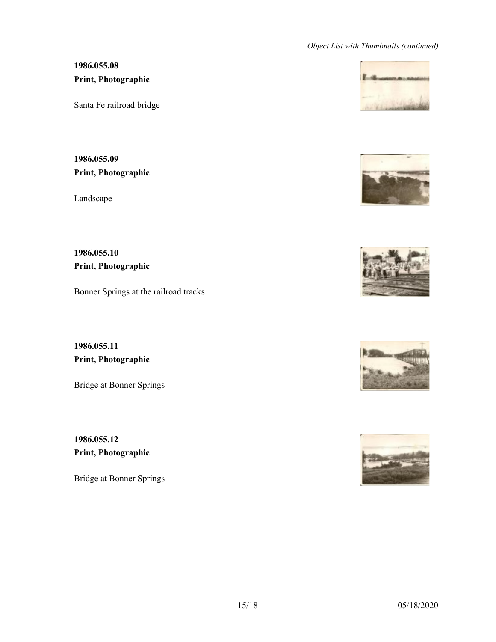# **1986.055.08 Print, Photographic**

Santa Fe railroad bridge

**1986.055.09 Print, Photographic**

Landscape

**1986.055.10 Print, Photographic**

Bonner Springs at the railroad tracks

**1986.055.11 Print, Photographic**

Bridge at Bonner Springs

**1986.055.12 Print, Photographic**

Bridge at Bonner Springs









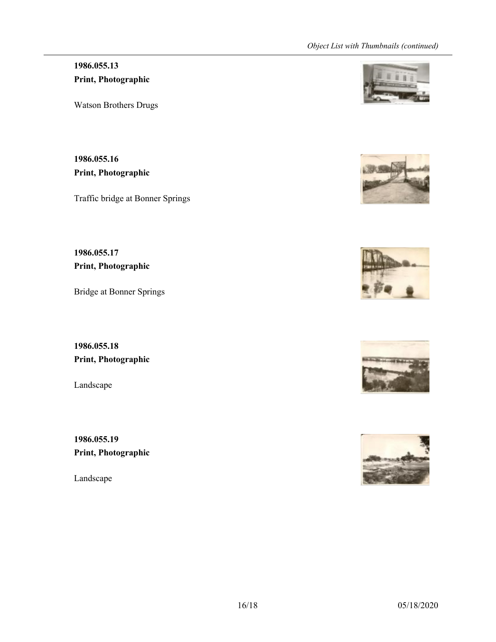# **1986.055.13 Print, Photographic**

Watson Brothers Drugs

**1986.055.16 Print, Photographic**

Traffic bridge at Bonner Springs

**1986.055.17 Print, Photographic**

Bridge at Bonner Springs

**1986.055.18 Print, Photographic**

Landscape

**1986.055.19 Print, Photographic**

Landscape









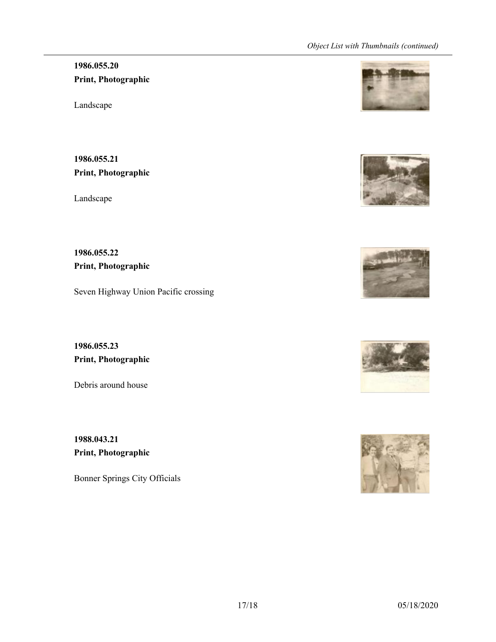# **1986.055.20 Print, Photographic**

Landscape

**1986.055.21 Print, Photographic**

Landscape

**1986.055.22 Print, Photographic**

Seven Highway Union Pacific crossing

**1986.055.23 Print, Photographic**

Debris around house

**1988.043.21 Print, Photographic**

Bonner Springs City Officials